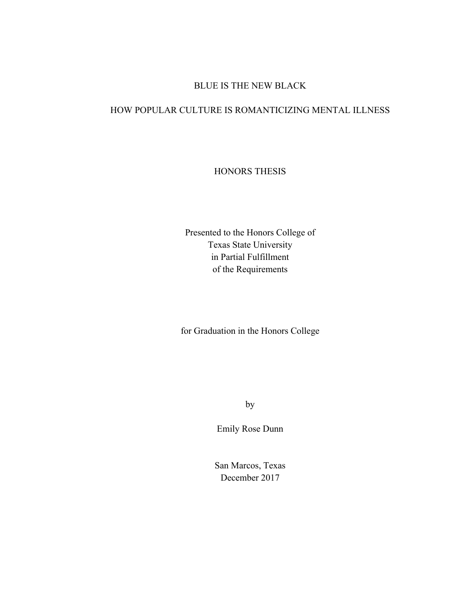# BLUE IS THE NEW BLACK

## HOW POPULAR CULTURE IS ROMANTICIZING MENTAL ILLNESS

# HONORS THESIS

Presented to the Honors College of Texas State University in Partial Fulfillment of the Requirements

for Graduation in the Honors College

by

Emily Rose Dunn

San Marcos, Texas December 2017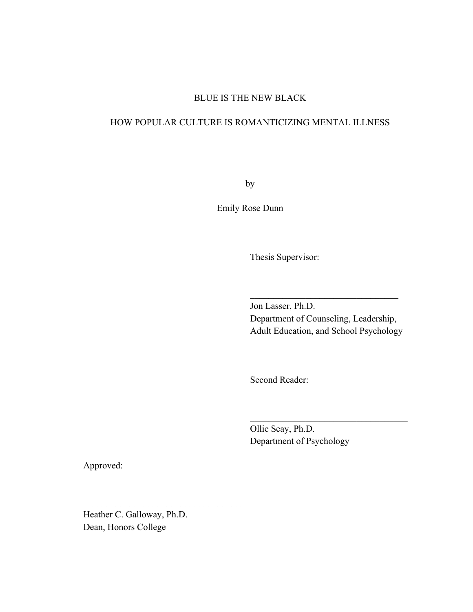#### BLUE IS THE NEW BLACK

# HOW POPULAR CULTURE IS ROMANTICIZING MENTAL ILLNESS

by

Emily Rose Dunn

Thesis Supervisor:

Jon Lasser, Ph.D. Department of Counseling, Leadership, Adult Education, and School Psychology

 $\mathcal{L}_\text{max}$  , and the set of the set of the set of the set of the set of the set of the set of the set of the set of the set of the set of the set of the set of the set of the set of the set of the set of the set of the

 $\mathcal{L}=\{1,2,3,4,5\}$ 

Second Reader:

Ollie Seay, Ph.D. Department of Psychology

Approved:

Heather C. Galloway, Ph.D. Dean, Honors College

 $\mathcal{L}_\text{max}$  , and the set of the set of the set of the set of the set of the set of the set of the set of the set of the set of the set of the set of the set of the set of the set of the set of the set of the set of the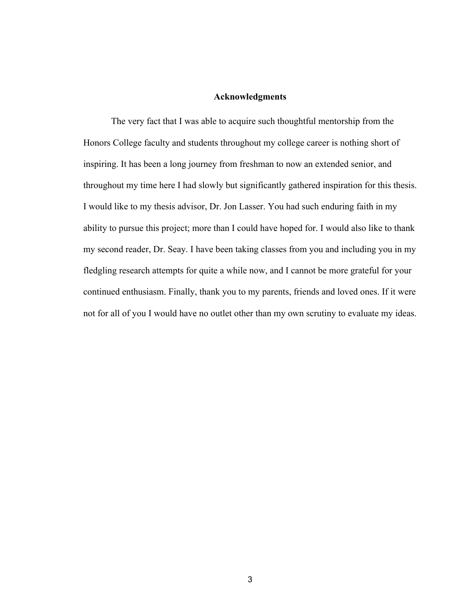#### **Acknowledgments**

The very fact that I was able to acquire such thoughtful mentorship from the Honors College faculty and students throughout my college career is nothing short of inspiring. It has been a long journey from freshman to now an extended senior, and throughout my time here I had slowly but significantly gathered inspiration for this thesis. I would like to my thesis advisor, Dr. Jon Lasser. You had such enduring faith in my ability to pursue this project; more than I could have hoped for. I would also like to thank my second reader, Dr. Seay. I have been taking classes from you and including you in my fledgling research attempts for quite a while now, and I cannot be more grateful for your continued enthusiasm. Finally, thank you to my parents, friends and loved ones. If it were not for all of you I would have no outlet other than my own scrutiny to evaluate my ideas.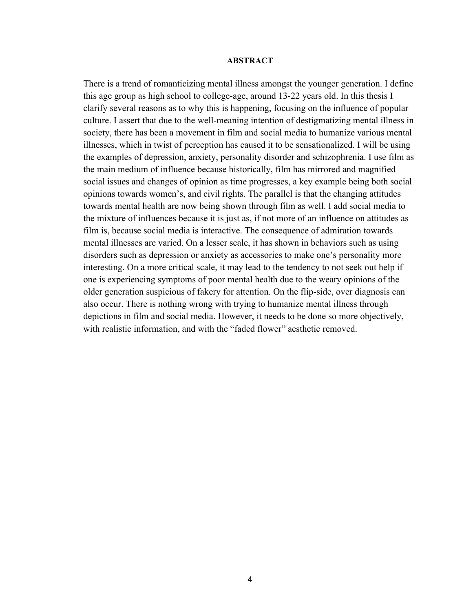#### **ABSTRACT**

There is a trend of romanticizing mental illness amongst the younger generation. I define this age group as high school to college-age, around 13-22 years old. In this thesis I clarify several reasons as to why this is happening, focusing on the influence of popular culture. I assert that due to the well-meaning intention of destigmatizing mental illness in society, there has been a movement in film and social media to humanize various mental illnesses, which in twist of perception has caused it to be sensationalized. I will be using the examples of depression, anxiety, personality disorder and schizophrenia. I use film as the main medium of influence because historically, film has mirrored and magnified social issues and changes of opinion as time progresses, a key example being both social opinions towards women's, and civil rights. The parallel is that the changing attitudes towards mental health are now being shown through film as well. I add social media to the mixture of influences because it is just as, if not more of an influence on attitudes as film is, because social media is interactive. The consequence of admiration towards mental illnesses are varied. On a lesser scale, it has shown in behaviors such as using disorders such as depression or anxiety as accessories to make one's personality more interesting. On a more critical scale, it may lead to the tendency to not seek out help if one is experiencing symptoms of poor mental health due to the weary opinions of the older generation suspicious of fakery for attention. On the flip-side, over diagnosis can also occur. There is nothing wrong with trying to humanize mental illness through depictions in film and social media. However, it needs to be done so more objectively, with realistic information, and with the "faded flower" aesthetic removed.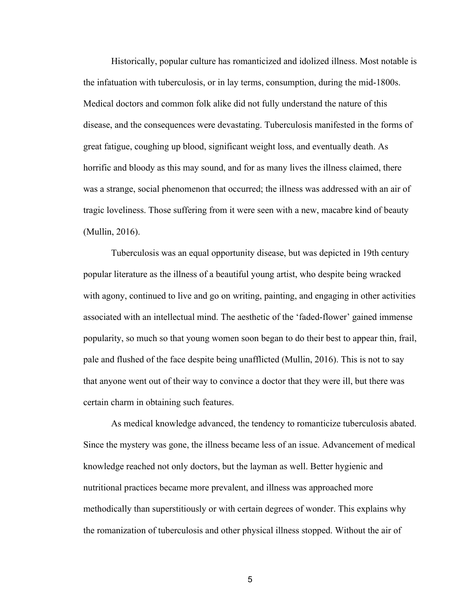Historically, popular culture has romanticized and idolized illness. Most notable is the infatuation with tuberculosis, or in lay terms, consumption, during the mid-1800s. Medical doctors and common folk alike did not fully understand the nature of this disease, and the consequences were devastating. Tuberculosis manifested in the forms of great fatigue, coughing up blood, significant weight loss, and eventually death. As horrific and bloody as this may sound, and for as many lives the illness claimed, there was a strange, social phenomenon that occurred; the illness was addressed with an air of tragic loveliness. Those suffering from it were seen with a new, macabre kind of beauty (Mullin, 2016).

Tuberculosis was an equal opportunity disease, but was depicted in 19th century popular literature as the illness of a beautiful young artist, who despite being wracked with agony, continued to live and go on writing, painting, and engaging in other activities associated with an intellectual mind. The aesthetic of the 'faded-flower' gained immense popularity, so much so that young women soon began to do their best to appear thin, frail, pale and flushed of the face despite being unafflicted (Mullin, 2016). This is not to say that anyone went out of their way to convince a doctor that they were ill, but there was certain charm in obtaining such features.

As medical knowledge advanced, the tendency to romanticize tuberculosis abated. Since the mystery was gone, the illness became less of an issue. Advancement of medical knowledge reached not only doctors, but the layman as well. Better hygienic and nutritional practices became more prevalent, and illness was approached more methodically than superstitiously or with certain degrees of wonder. This explains why the romanization of tuberculosis and other physical illness stopped. Without the air of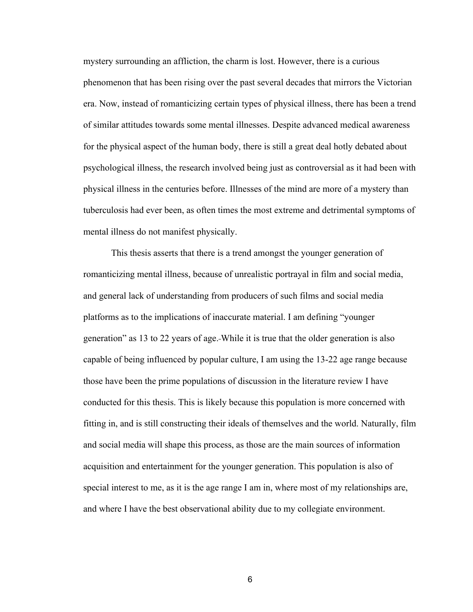mystery surrounding an affliction, the charm is lost. However, there is a curious phenomenon that has been rising over the past several decades that mirrors the Victorian era. Now, instead of romanticizing certain types of physical illness, there has been a trend of similar attitudes towards some mental illnesses. Despite advanced medical awareness for the physical aspect of the human body, there is still a great deal hotly debated about psychological illness, the research involved being just as controversial as it had been with physical illness in the centuries before. Illnesses of the mind are more of a mystery than tuberculosis had ever been, as often times the most extreme and detrimental symptoms of mental illness do not manifest physically.

This thesis asserts that there is a trend amongst the younger generation of romanticizing mental illness, because of unrealistic portrayal in film and social media, and general lack of understanding from producers of such films and social media platforms as to the implications of inaccurate material. I am defining "younger generation" as 13 to 22 years of age. While it is true that the older generation is also capable of being influenced by popular culture, I am using the 13-22 age range because those have been the prime populations of discussion in the literature review I have conducted for this thesis. This is likely because this population is more concerned with fitting in, and is still constructing their ideals of themselves and the world. Naturally, film and social media will shape this process, as those are the main sources of information acquisition and entertainment for the younger generation. This population is also of special interest to me, as it is the age range I am in, where most of my relationships are, and where I have the best observational ability due to my collegiate environment.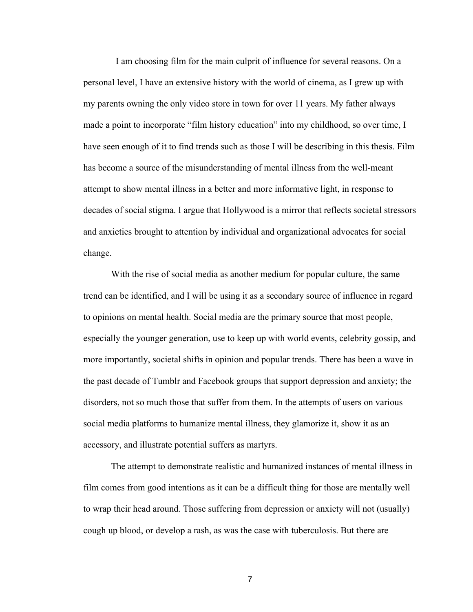I am choosing film for the main culprit of influence for several reasons. On a personal level, I have an extensive history with the world of cinema, as I grew up with my parents owning the only video store in town for over 11 years. My father always made a point to incorporate "film history education" into my childhood, so over time, I have seen enough of it to find trends such as those I will be describing in this thesis. Film has become a source of the misunderstanding of mental illness from the well-meant attempt to show mental illness in a better and more informative light, in response to decades of social stigma. I argue that Hollywood is a mirror that reflects societal stressors and anxieties brought to attention by individual and organizational advocates for social change.

With the rise of social media as another medium for popular culture, the same trend can be identified, and I will be using it as a secondary source of influence in regard to opinions on mental health. Social media are the primary source that most people, especially the younger generation, use to keep up with world events, celebrity gossip, and more importantly, societal shifts in opinion and popular trends. There has been a wave in the past decade of Tumblr and Facebook groups that support depression and anxiety; the disorders, not so much those that suffer from them. In the attempts of users on various social media platforms to humanize mental illness, they glamorize it, show it as an accessory, and illustrate potential suffers as martyrs.

The attempt to demonstrate realistic and humanized instances of mental illness in film comes from good intentions as it can be a difficult thing for those are mentally well to wrap their head around. Those suffering from depression or anxiety will not (usually) cough up blood, or develop a rash, as was the case with tuberculosis. But there are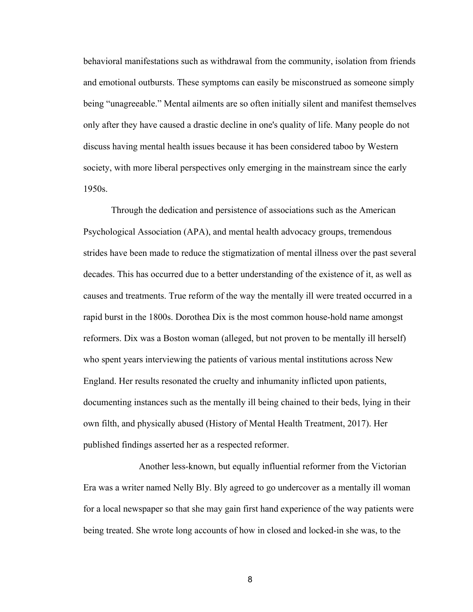behavioral manifestations such as withdrawal from the community, isolation from friends and emotional outbursts. These symptoms can easily be misconstrued as someone simply being "unagreeable." Mental ailments are so often initially silent and manifest themselves only after they have caused a drastic decline in one's quality of life. Many people do not discuss having mental health issues because it has been considered taboo by Western society, with more liberal perspectives only emerging in the mainstream since the early 1950s.

Through the dedication and persistence of associations such as the American Psychological Association (APA), and mental health advocacy groups, tremendous strides have been made to reduce the stigmatization of mental illness over the past several decades. This has occurred due to a better understanding of the existence of it, as well as causes and treatments. True reform of the way the mentally ill were treated occurred in a rapid burst in the 1800s. Dorothea Dix is the most common house-hold name amongst reformers. Dix was a Boston woman (alleged, but not proven to be mentally ill herself) who spent years interviewing the patients of various mental institutions across New England. Her results resonated the cruelty and inhumanity inflicted upon patients, documenting instances such as the mentally ill being chained to their beds, lying in their own filth, and physically abused (History of Mental Health Treatment, 2017). Her published findings asserted her as a respected reformer.

Another less-known, but equally influential reformer from the Victorian Era was a writer named Nelly Bly. Bly agreed to go undercover as a mentally ill woman for a local newspaper so that she may gain first hand experience of the way patients were being treated. She wrote long accounts of how in closed and locked-in she was, to the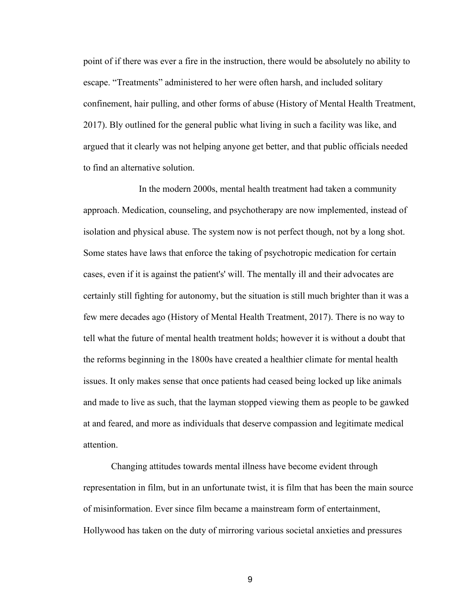point of if there was ever a fire in the instruction, there would be absolutely no ability to escape. "Treatments" administered to her were often harsh, and included solitary confinement, hair pulling, and other forms of abuse (History of Mental Health Treatment, 2017). Bly outlined for the general public what living in such a facility was like, and argued that it clearly was not helping anyone get better, and that public officials needed to find an alternative solution.

In the modern 2000s, mental health treatment had taken a community approach. Medication, counseling, and psychotherapy are now implemented, instead of isolation and physical abuse. The system now is not perfect though, not by a long shot. Some states have laws that enforce the taking of psychotropic medication for certain cases, even if it is against the patient's' will. The mentally ill and their advocates are certainly still fighting for autonomy, but the situation is still much brighter than it was a few mere decades ago (History of Mental Health Treatment, 2017). There is no way to tell what the future of mental health treatment holds; however it is without a doubt that the reforms beginning in the 1800s have created a healthier climate for mental health issues. It only makes sense that once patients had ceased being locked up like animals and made to live as such, that the layman stopped viewing them as people to be gawked at and feared, and more as individuals that deserve compassion and legitimate medical attention.

Changing attitudes towards mental illness have become evident through representation in film, but in an unfortunate twist, it is film that has been the main source of misinformation. Ever since film became a mainstream form of entertainment, Hollywood has taken on the duty of mirroring various societal anxieties and pressures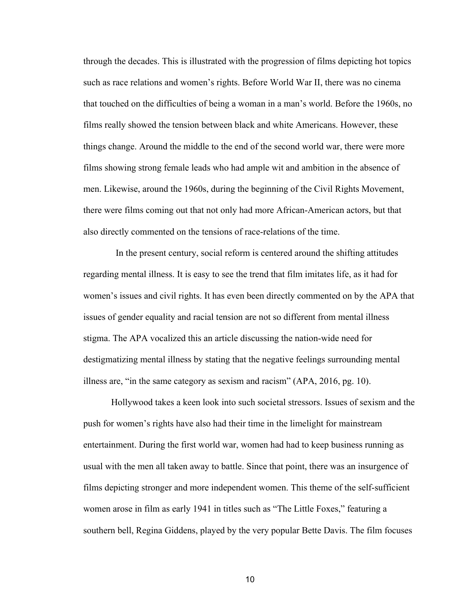through the decades. This is illustrated with the progression of films depicting hot topics such as race relations and women's rights. Before World War II, there was no cinema that touched on the difficulties of being a woman in a man's world. Before the 1960s, no films really showed the tension between black and white Americans. However, these things change. Around the middle to the end of the second world war, there were more films showing strong female leads who had ample wit and ambition in the absence of men. Likewise, around the 1960s, during the beginning of the Civil Rights Movement, there were films coming out that not only had more African-American actors, but that also directly commented on the tensions of race-relations of the time.

 In the present century, social reform is centered around the shifting attitudes regarding mental illness. It is easy to see the trend that film imitates life, as it had for women's issues and civil rights. It has even been directly commented on by the APA that issues of gender equality and racial tension are not so different from mental illness stigma. The APA vocalized this an article discussing the nation-wide need for destigmatizing mental illness by stating that the negative feelings surrounding mental illness are, "in the same category as sexism and racism" (APA, 2016, pg. 10).

Hollywood takes a keen look into such societal stressors. Issues of sexism and the push for women's rights have also had their time in the limelight for mainstream entertainment. During the first world war, women had had to keep business running as usual with the men all taken away to battle. Since that point, there was an insurgence of films depicting stronger and more independent women. This theme of the self-sufficient women arose in film as early 1941 in titles such as "The Little Foxes," featuring a southern bell, Regina Giddens, played by the very popular Bette Davis. The film focuses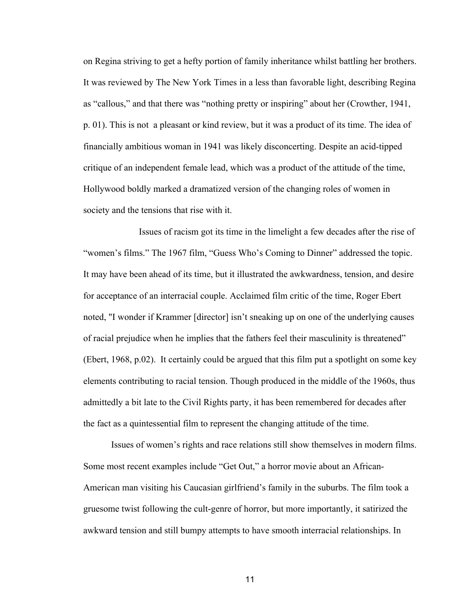on Regina striving to get a hefty portion of family inheritance whilst battling her brothers. It was reviewed by The New York Times in a less than favorable light, describing Regina as "callous," and that there was "nothing pretty or inspiring" about her (Crowther, 1941, p. 01). This is not a pleasant or kind review, but it was a product of its time. The idea of financially ambitious woman in 1941 was likely disconcerting. Despite an acid-tipped critique of an independent female lead, which was a product of the attitude of the time, Hollywood boldly marked a dramatized version of the changing roles of women in society and the tensions that rise with it.

Issues of racism got its time in the limelight a few decades after the rise of "women's films." The 1967 film, "Guess Who's Coming to Dinner" addressed the topic. It may have been ahead of its time, but it illustrated the awkwardness, tension, and desire for acceptance of an interracial couple. Acclaimed film critic of the time, Roger Ebert noted, "I wonder if Krammer [director] isn't sneaking up on one of the underlying causes of racial prejudice when he implies that the fathers feel their masculinity is threatened" (Ebert, 1968, p.02). It certainly could be argued that this film put a spotlight on some key elements contributing to racial tension. Though produced in the middle of the 1960s, thus admittedly a bit late to the Civil Rights party, it has been remembered for decades after the fact as a quintessential film to represent the changing attitude of the time.

Issues of women's rights and race relations still show themselves in modern films. Some most recent examples include "Get Out," a horror movie about an African-American man visiting his Caucasian girlfriend's family in the suburbs. The film took a gruesome twist following the cult-genre of horror, but more importantly, it satirized the awkward tension and still bumpy attempts to have smooth interracial relationships. In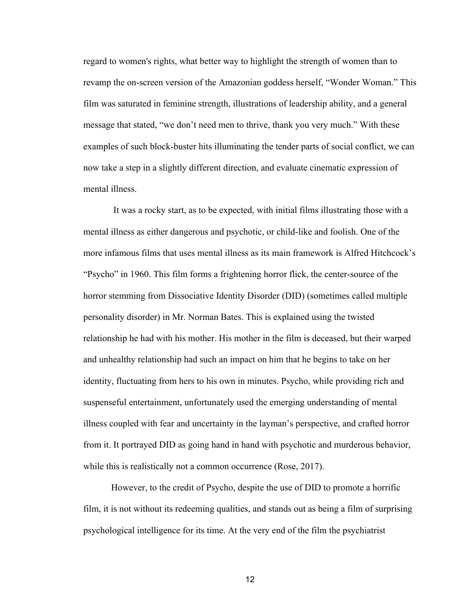regard to women's rights, what better way to highlight the strength of women than to revamp the on-screen version of the Amazonian goddess herself, "Wonder Woman." This film was saturated in feminine strength, illustrations of leadership ability, and a general message that stated, "we don't need men to thrive, thank you very much." With these examples of such block-buster hits illuminating the tender parts of social conflict, we can now take a step in a slightly different direction, and evaluate cinematic expression of mental illness.

It was a rocky start, as to be expected, with initial films illustrating those with a mental illness as either dangerous and psychotic, or child-like and foolish. One of the more infamous films that uses mental illness as its main framework is Alfred Hitchcock's "Psycho" in 1960. This film forms a frightening horror flick, the center-source of the horror stemming from Dissociative Identity Disorder (DID) (sometimes called multiple personality disorder) in Mr. Norman Bates. This is explained using the twisted relationship he had with his mother. His mother in the film is deceased, but their warped and unhealthy relationship had such an impact on him that he begins to take on her identity, fluctuating from hers to his own in minutes. Psycho, while providing rich and suspenseful entertainment, unfortunately used the emerging understanding of mental illness coupled with fear and uncertainty in the layman's perspective, and crafted horror from it. It portrayed DID as going hand in hand with psychotic and murderous behavior, while this is realistically not a common occurrence (Rose, 2017).

However, to the credit of Psycho, despite the use of DID to promote a horrific film, it is not without its redeeming qualities, and stands out as being a film of surprising psychological intelligence for its time. At the very end of the film the psychiatrist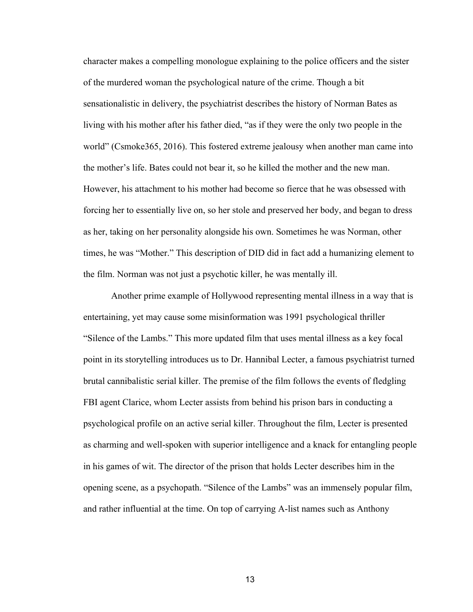character makes a compelling monologue explaining to the police officers and the sister of the murdered woman the psychological nature of the crime. Though a bit sensationalistic in delivery, the psychiatrist describes the history of Norman Bates as living with his mother after his father died, "as if they were the only two people in the world" (Csmoke365, 2016). This fostered extreme jealousy when another man came into the mother's life. Bates could not bear it, so he killed the mother and the new man. However, his attachment to his mother had become so fierce that he was obsessed with forcing her to essentially live on, so her stole and preserved her body, and began to dress as her, taking on her personality alongside his own. Sometimes he was Norman, other times, he was "Mother." This description of DID did in fact add a humanizing element to the film. Norman was not just a psychotic killer, he was mentally ill.

Another prime example of Hollywood representing mental illness in a way that is entertaining, yet may cause some misinformation was 1991 psychological thriller "Silence of the Lambs." This more updated film that uses mental illness as a key focal point in its storytelling introduces us to Dr. Hannibal Lecter, a famous psychiatrist turned brutal cannibalistic serial killer. The premise of the film follows the events of fledgling FBI agent Clarice, whom Lecter assists from behind his prison bars in conducting a psychological profile on an active serial killer. Throughout the film, Lecter is presented as charming and well-spoken with superior intelligence and a knack for entangling people in his games of wit. The director of the prison that holds Lecter describes him in the opening scene, as a psychopath. "Silence of the Lambs" was an immensely popular film, and rather influential at the time. On top of carrying A-list names such as Anthony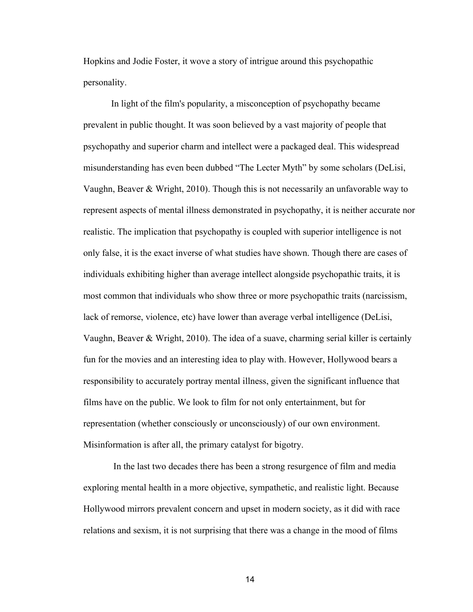Hopkins and Jodie Foster, it wove a story of intrigue around this psychopathic personality.

In light of the film's popularity, a misconception of psychopathy became prevalent in public thought. It was soon believed by a vast majority of people that psychopathy and superior charm and intellect were a packaged deal. This widespread misunderstanding has even been dubbed "The Lecter Myth" by some scholars (DeLisi, Vaughn, Beaver & Wright, 2010). Though this is not necessarily an unfavorable way to represent aspects of mental illness demonstrated in psychopathy, it is neither accurate nor realistic. The implication that psychopathy is coupled with superior intelligence is not only false, it is the exact inverse of what studies have shown. Though there are cases of individuals exhibiting higher than average intellect alongside psychopathic traits, it is most common that individuals who show three or more psychopathic traits (narcissism, lack of remorse, violence, etc) have lower than average verbal intelligence (DeLisi, Vaughn, Beaver  $\&$  Wright, 2010). The idea of a suave, charming serial killer is certainly fun for the movies and an interesting idea to play with. However, Hollywood bears a responsibility to accurately portray mental illness, given the significant influence that films have on the public. We look to film for not only entertainment, but for representation (whether consciously or unconsciously) of our own environment. Misinformation is after all, the primary catalyst for bigotry.

In the last two decades there has been a strong resurgence of film and media exploring mental health in a more objective, sympathetic, and realistic light. Because Hollywood mirrors prevalent concern and upset in modern society, as it did with race relations and sexism, it is not surprising that there was a change in the mood of films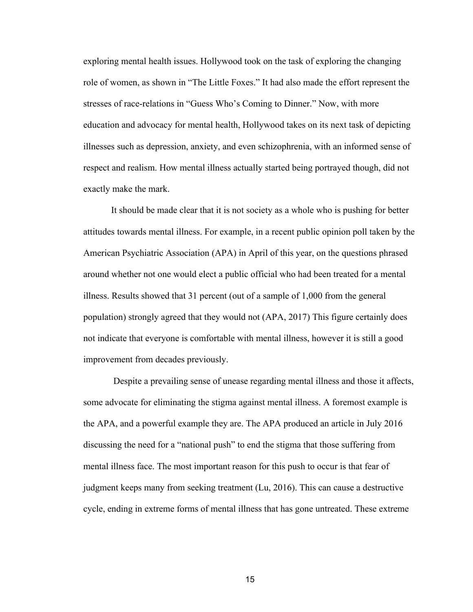exploring mental health issues. Hollywood took on the task of exploring the changing role of women, as shown in "The Little Foxes." It had also made the effort represent the stresses of race-relations in "Guess Who's Coming to Dinner." Now, with more education and advocacy for mental health, Hollywood takes on its next task of depicting illnesses such as depression, anxiety, and even schizophrenia, with an informed sense of respect and realism. How mental illness actually started being portrayed though, did not exactly make the mark.

It should be made clear that it is not society as a whole who is pushing for better attitudes towards mental illness. For example, in a recent public opinion poll taken by the American Psychiatric Association (APA) in April of this year, on the questions phrased around whether not one would elect a public official who had been treated for a mental illness. Results showed that 31 percent (out of a sample of 1,000 from the general population) strongly agreed that they would not (APA, 2017) This figure certainly does not indicate that everyone is comfortable with mental illness, however it is still a good improvement from decades previously.

Despite a prevailing sense of unease regarding mental illness and those it affects, some advocate for eliminating the stigma against mental illness. A foremost example is the APA, and a powerful example they are. The APA produced an article in July 2016 discussing the need for a "national push" to end the stigma that those suffering from mental illness face. The most important reason for this push to occur is that fear of judgment keeps many from seeking treatment (Lu, 2016). This can cause a destructive cycle, ending in extreme forms of mental illness that has gone untreated. These extreme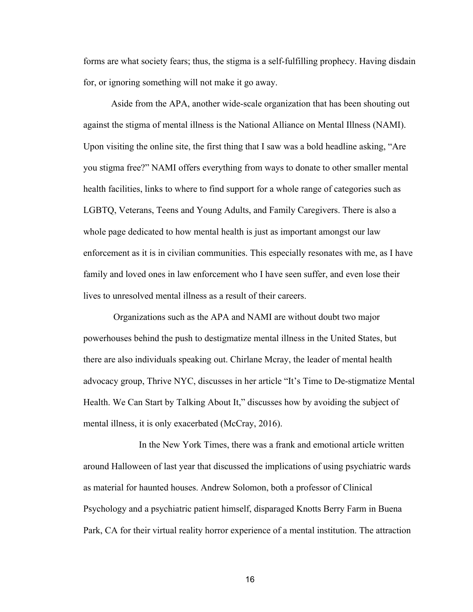forms are what society fears; thus, the stigma is a self-fulfilling prophecy. Having disdain for, or ignoring something will not make it go away.

Aside from the APA, another wide-scale organization that has been shouting out against the stigma of mental illness is the National Alliance on Mental Illness (NAMI). Upon visiting the online site, the first thing that I saw was a bold headline asking, "Are you stigma free?" NAMI offers everything from ways to donate to other smaller mental health facilities, links to where to find support for a whole range of categories such as LGBTQ, Veterans, Teens and Young Adults, and Family Caregivers. There is also a whole page dedicated to how mental health is just as important amongst our law enforcement as it is in civilian communities. This especially resonates with me, as I have family and loved ones in law enforcement who I have seen suffer, and even lose their lives to unresolved mental illness as a result of their careers.

Organizations such as the APA and NAMI are without doubt two major powerhouses behind the push to destigmatize mental illness in the United States, but there are also individuals speaking out. Chirlane Mcray, the leader of mental health advocacy group, Thrive NYC, discusses in her article "It's Time to De-stigmatize Mental Health. We Can Start by Talking About It," discusses how by avoiding the subject of mental illness, it is only exacerbated (McCray, 2016).

In the New York Times, there was a frank and emotional article written around Halloween of last year that discussed the implications of using psychiatric wards as material for haunted houses. Andrew Solomon, both a professor of Clinical Psychology and a psychiatric patient himself, disparaged Knotts Berry Farm in Buena Park, CA for their virtual reality horror experience of a mental institution. The attraction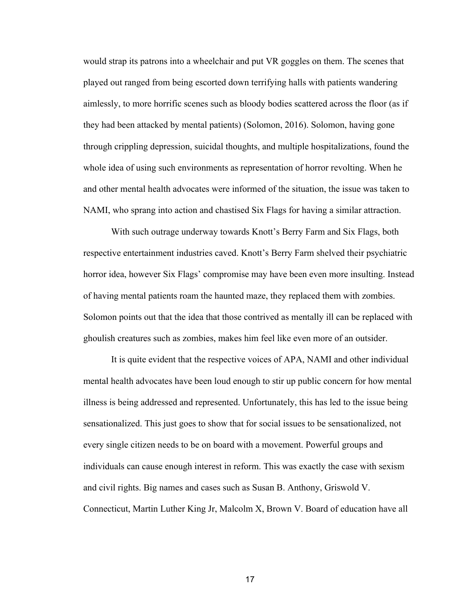would strap its patrons into a wheelchair and put VR goggles on them. The scenes that played out ranged from being escorted down terrifying halls with patients wandering aimlessly, to more horrific scenes such as bloody bodies scattered across the floor (as if they had been attacked by mental patients) (Solomon, 2016). Solomon, having gone through crippling depression, suicidal thoughts, and multiple hospitalizations, found the whole idea of using such environments as representation of horror revolting. When he and other mental health advocates were informed of the situation, the issue was taken to NAMI, who sprang into action and chastised Six Flags for having a similar attraction.

With such outrage underway towards Knott's Berry Farm and Six Flags, both respective entertainment industries caved. Knott's Berry Farm shelved their psychiatric horror idea, however Six Flags' compromise may have been even more insulting. Instead of having mental patients roam the haunted maze, they replaced them with zombies. Solomon points out that the idea that those contrived as mentally ill can be replaced with ghoulish creatures such as zombies, makes him feel like even more of an outsider.

It is quite evident that the respective voices of APA, NAMI and other individual mental health advocates have been loud enough to stir up public concern for how mental illness is being addressed and represented. Unfortunately, this has led to the issue being sensationalized. This just goes to show that for social issues to be sensationalized, not every single citizen needs to be on board with a movement. Powerful groups and individuals can cause enough interest in reform. This was exactly the case with sexism and civil rights. Big names and cases such as Susan B. Anthony, Griswold V. Connecticut, Martin Luther King Jr, Malcolm X, Brown V. Board of education have all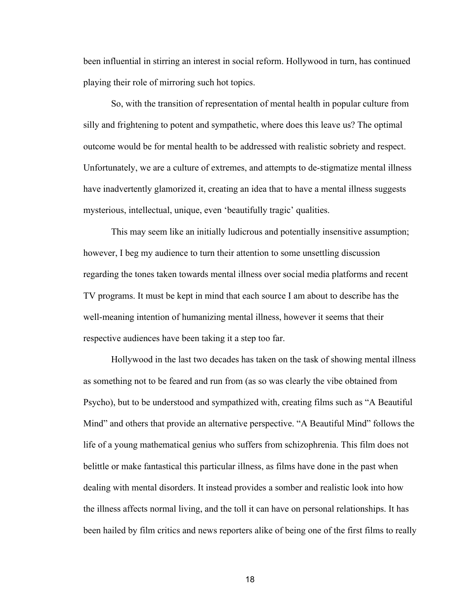been influential in stirring an interest in social reform. Hollywood in turn, has continued playing their role of mirroring such hot topics.

So, with the transition of representation of mental health in popular culture from silly and frightening to potent and sympathetic, where does this leave us? The optimal outcome would be for mental health to be addressed with realistic sobriety and respect. Unfortunately, we are a culture of extremes, and attempts to de-stigmatize mental illness have inadvertently glamorized it, creating an idea that to have a mental illness suggests mysterious, intellectual, unique, even 'beautifully tragic' qualities.

This may seem like an initially ludicrous and potentially insensitive assumption; however, I beg my audience to turn their attention to some unsettling discussion regarding the tones taken towards mental illness over social media platforms and recent TV programs. It must be kept in mind that each source I am about to describe has the well-meaning intention of humanizing mental illness, however it seems that their respective audiences have been taking it a step too far.

Hollywood in the last two decades has taken on the task of showing mental illness as something not to be feared and run from (as so was clearly the vibe obtained from Psycho), but to be understood and sympathized with, creating films such as "A Beautiful Mind" and others that provide an alternative perspective. "A Beautiful Mind" follows the life of a young mathematical genius who suffers from schizophrenia. This film does not belittle or make fantastical this particular illness, as films have done in the past when dealing with mental disorders. It instead provides a somber and realistic look into how the illness affects normal living, and the toll it can have on personal relationships. It has been hailed by film critics and news reporters alike of being one of the first films to really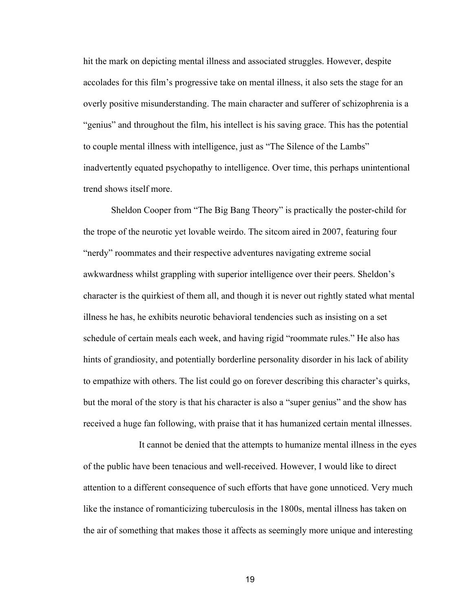hit the mark on depicting mental illness and associated struggles. However, despite accolades for this film's progressive take on mental illness, it also sets the stage for an overly positive misunderstanding. The main character and sufferer of schizophrenia is a "genius" and throughout the film, his intellect is his saving grace. This has the potential to couple mental illness with intelligence, just as "The Silence of the Lambs" inadvertently equated psychopathy to intelligence. Over time, this perhaps unintentional trend shows itself more.

Sheldon Cooper from "The Big Bang Theory" is practically the poster-child for the trope of the neurotic yet lovable weirdo. The sitcom aired in 2007, featuring four "nerdy" roommates and their respective adventures navigating extreme social awkwardness whilst grappling with superior intelligence over their peers. Sheldon's character is the quirkiest of them all, and though it is never out rightly stated what mental illness he has, he exhibits neurotic behavioral tendencies such as insisting on a set schedule of certain meals each week, and having rigid "roommate rules." He also has hints of grandiosity, and potentially borderline personality disorder in his lack of ability to empathize with others. The list could go on forever describing this character's quirks, but the moral of the story is that his character is also a "super genius" and the show has received a huge fan following, with praise that it has humanized certain mental illnesses.

It cannot be denied that the attempts to humanize mental illness in the eyes of the public have been tenacious and well-received. However, I would like to direct attention to a different consequence of such efforts that have gone unnoticed. Very much like the instance of romanticizing tuberculosis in the 1800s, mental illness has taken on the air of something that makes those it affects as seemingly more unique and interesting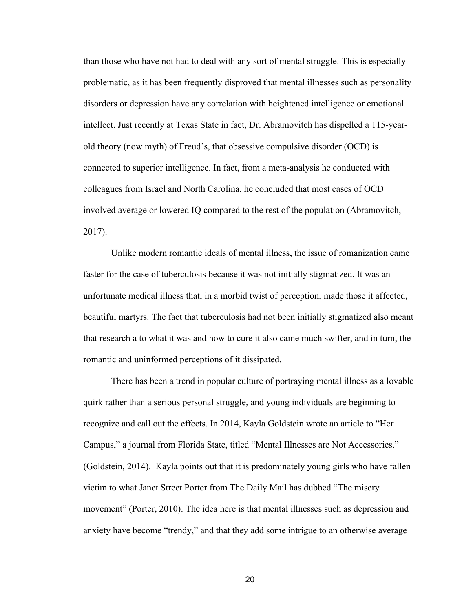than those who have not had to deal with any sort of mental struggle. This is especially problematic, as it has been frequently disproved that mental illnesses such as personality disorders or depression have any correlation with heightened intelligence or emotional intellect. Just recently at Texas State in fact, Dr. Abramovitch has dispelled a 115-yearold theory (now myth) of Freud's, that obsessive compulsive disorder (OCD) is connected to superior intelligence. In fact, from a meta-analysis he conducted with colleagues from Israel and North Carolina, he concluded that most cases of OCD involved average or lowered IQ compared to the rest of the population (Abramovitch, 2017).

Unlike modern romantic ideals of mental illness, the issue of romanization came faster for the case of tuberculosis because it was not initially stigmatized. It was an unfortunate medical illness that, in a morbid twist of perception, made those it affected, beautiful martyrs. The fact that tuberculosis had not been initially stigmatized also meant that research a to what it was and how to cure it also came much swifter, and in turn, the romantic and uninformed perceptions of it dissipated.

There has been a trend in popular culture of portraying mental illness as a lovable quirk rather than a serious personal struggle, and young individuals are beginning to recognize and call out the effects. In 2014, Kayla Goldstein wrote an article to "Her Campus," a journal from Florida State, titled "Mental Illnesses are Not Accessories." (Goldstein, 2014). Kayla points out that it is predominately young girls who have fallen victim to what Janet Street Porter from The Daily Mail has dubbed "The misery movement" (Porter, 2010). The idea here is that mental illnesses such as depression and anxiety have become "trendy," and that they add some intrigue to an otherwise average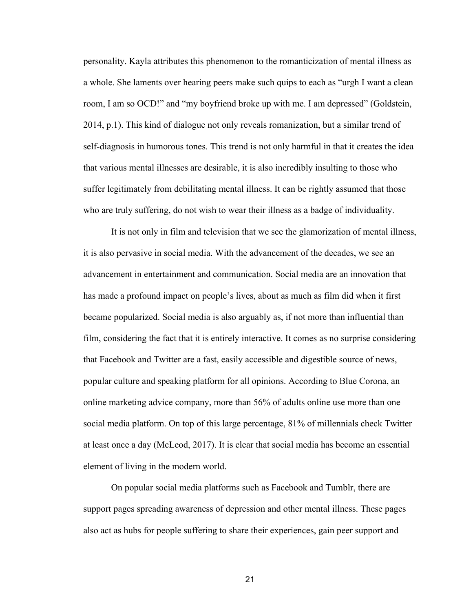personality. Kayla attributes this phenomenon to the romanticization of mental illness as a whole. She laments over hearing peers make such quips to each as "urgh I want a clean room, I am so OCD!" and "my boyfriend broke up with me. I am depressed" (Goldstein, 2014, p.1). This kind of dialogue not only reveals romanization, but a similar trend of self-diagnosis in humorous tones. This trend is not only harmful in that it creates the idea that various mental illnesses are desirable, it is also incredibly insulting to those who suffer legitimately from debilitating mental illness. It can be rightly assumed that those who are truly suffering, do not wish to wear their illness as a badge of individuality.

It is not only in film and television that we see the glamorization of mental illness, it is also pervasive in social media. With the advancement of the decades, we see an advancement in entertainment and communication. Social media are an innovation that has made a profound impact on people's lives, about as much as film did when it first became popularized. Social media is also arguably as, if not more than influential than film, considering the fact that it is entirely interactive. It comes as no surprise considering that Facebook and Twitter are a fast, easily accessible and digestible source of news, popular culture and speaking platform for all opinions. According to Blue Corona, an online marketing advice company, more than 56% of adults online use more than one social media platform. On top of this large percentage, 81% of millennials check Twitter at least once a day (McLeod, 2017). It is clear that social media has become an essential element of living in the modern world.

On popular social media platforms such as Facebook and Tumblr, there are support pages spreading awareness of depression and other mental illness. These pages also act as hubs for people suffering to share their experiences, gain peer support and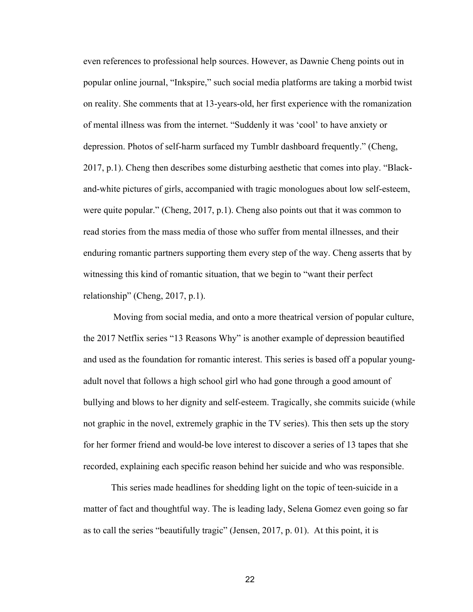even references to professional help sources. However, as Dawnie Cheng points out in popular online journal, "Inkspire," such social media platforms are taking a morbid twist on reality. She comments that at 13-years-old, her first experience with the romanization of mental illness was from the internet. "Suddenly it was 'cool' to have anxiety or depression. Photos of self-harm surfaced my Tumblr dashboard frequently." (Cheng, 2017, p.1). Cheng then describes some disturbing aesthetic that comes into play. "Blackand-white pictures of girls, accompanied with tragic monologues about low self-esteem, were quite popular." (Cheng, 2017, p.1). Cheng also points out that it was common to read stories from the mass media of those who suffer from mental illnesses, and their enduring romantic partners supporting them every step of the way. Cheng asserts that by witnessing this kind of romantic situation, that we begin to "want their perfect relationship" (Cheng, 2017, p.1).

Moving from social media, and onto a more theatrical version of popular culture, the 2017 Netflix series "13 Reasons Why" is another example of depression beautified and used as the foundation for romantic interest. This series is based off a popular youngadult novel that follows a high school girl who had gone through a good amount of bullying and blows to her dignity and self-esteem. Tragically, she commits suicide (while not graphic in the novel, extremely graphic in the TV series). This then sets up the story for her former friend and would-be love interest to discover a series of 13 tapes that she recorded, explaining each specific reason behind her suicide and who was responsible.

This series made headlines for shedding light on the topic of teen-suicide in a matter of fact and thoughtful way. The is leading lady, Selena Gomez even going so far as to call the series "beautifully tragic" (Jensen, 2017, p. 01). At this point, it is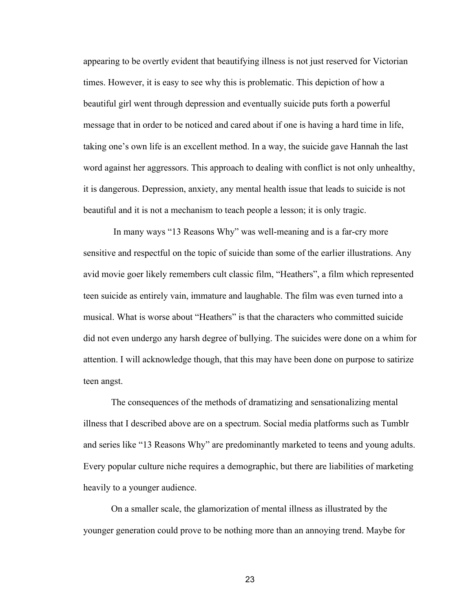appearing to be overtly evident that beautifying illness is not just reserved for Victorian times. However, it is easy to see why this is problematic. This depiction of how a beautiful girl went through depression and eventually suicide puts forth a powerful message that in order to be noticed and cared about if one is having a hard time in life, taking one's own life is an excellent method. In a way, the suicide gave Hannah the last word against her aggressors. This approach to dealing with conflict is not only unhealthy, it is dangerous. Depression, anxiety, any mental health issue that leads to suicide is not beautiful and it is not a mechanism to teach people a lesson; it is only tragic.

In many ways "13 Reasons Why" was well-meaning and is a far-cry more sensitive and respectful on the topic of suicide than some of the earlier illustrations. Any avid movie goer likely remembers cult classic film, "Heathers", a film which represented teen suicide as entirely vain, immature and laughable. The film was even turned into a musical. What is worse about "Heathers" is that the characters who committed suicide did not even undergo any harsh degree of bullying. The suicides were done on a whim for attention. I will acknowledge though, that this may have been done on purpose to satirize teen angst.

The consequences of the methods of dramatizing and sensationalizing mental illness that I described above are on a spectrum. Social media platforms such as Tumblr and series like "13 Reasons Why" are predominantly marketed to teens and young adults. Every popular culture niche requires a demographic, but there are liabilities of marketing heavily to a younger audience.

On a smaller scale, the glamorization of mental illness as illustrated by the younger generation could prove to be nothing more than an annoying trend. Maybe for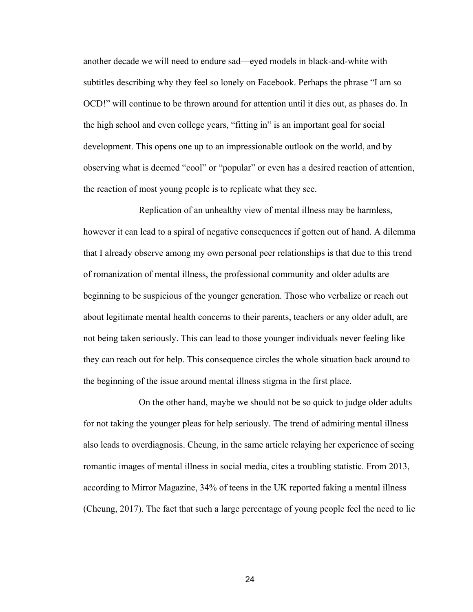another decade we will need to endure sad—eyed models in black-and-white with subtitles describing why they feel so lonely on Facebook. Perhaps the phrase "I am so OCD!" will continue to be thrown around for attention until it dies out, as phases do. In the high school and even college years, "fitting in" is an important goal for social development. This opens one up to an impressionable outlook on the world, and by observing what is deemed "cool" or "popular" or even has a desired reaction of attention, the reaction of most young people is to replicate what they see.

Replication of an unhealthy view of mental illness may be harmless, however it can lead to a spiral of negative consequences if gotten out of hand. A dilemma that I already observe among my own personal peer relationships is that due to this trend of romanization of mental illness, the professional community and older adults are beginning to be suspicious of the younger generation. Those who verbalize or reach out about legitimate mental health concerns to their parents, teachers or any older adult, are not being taken seriously. This can lead to those younger individuals never feeling like they can reach out for help. This consequence circles the whole situation back around to the beginning of the issue around mental illness stigma in the first place.

On the other hand, maybe we should not be so quick to judge older adults for not taking the younger pleas for help seriously. The trend of admiring mental illness also leads to overdiagnosis. Cheung, in the same article relaying her experience of seeing romantic images of mental illness in social media, cites a troubling statistic. From 2013, according to Mirror Magazine, 34% of teens in the UK reported faking a mental illness (Cheung, 2017). The fact that such a large percentage of young people feel the need to lie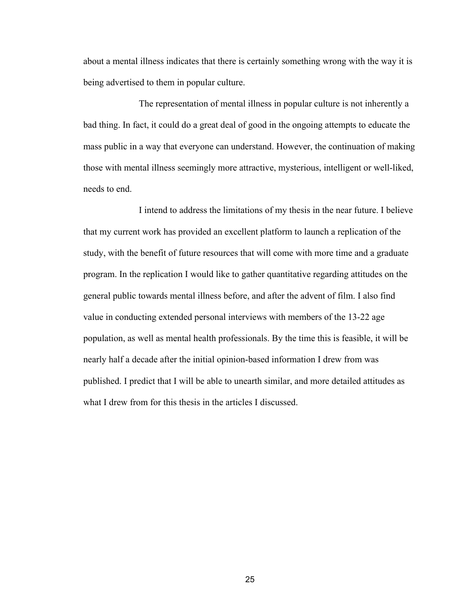about a mental illness indicates that there is certainly something wrong with the way it is being advertised to them in popular culture.

The representation of mental illness in popular culture is not inherently a bad thing. In fact, it could do a great deal of good in the ongoing attempts to educate the mass public in a way that everyone can understand. However, the continuation of making those with mental illness seemingly more attractive, mysterious, intelligent or well-liked, needs to end.

I intend to address the limitations of my thesis in the near future. I believe that my current work has provided an excellent platform to launch a replication of the study, with the benefit of future resources that will come with more time and a graduate program. In the replication I would like to gather quantitative regarding attitudes on the general public towards mental illness before, and after the advent of film. I also find value in conducting extended personal interviews with members of the 13-22 age population, as well as mental health professionals. By the time this is feasible, it will be nearly half a decade after the initial opinion-based information I drew from was published. I predict that I will be able to unearth similar, and more detailed attitudes as what I drew from for this thesis in the articles I discussed.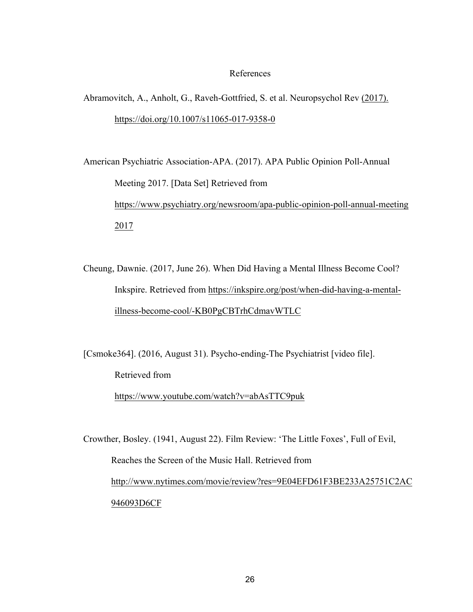#### References

Abramovitch, A., Anholt, G., Raveh-Gottfried, S. et al. Neuropsychol Rev (2017). https://doi.org/10.1007/s11065-017-9358-0

American Psychiatric Association-APA. (2017). APA Public Opinion Poll-Annual Meeting 2017. [Data Set] Retrieved from https://www.psychiatry.org/newsroom/apa-public-opinion-poll-annual-meeting 2017

Cheung, Dawnie. (2017, June 26). When Did Having a Mental Illness Become Cool? Inkspire. Retrieved from https://inkspire.org/post/when-did-having-a-mentalillness-become-cool/-KB0PgCBTrhCdmavWTLC

[Csmoke364]. (2016, August 31). Psycho-ending-The Psychiatrist [video file]. Retrieved from https://www.youtube.com/watch?v=abAsTTC9puk

Crowther, Bosley. (1941, August 22). Film Review: 'The Little Foxes', Full of Evil, Reaches the Screen of the Music Hall. Retrieved from http://www.nytimes.com/movie/review?res=9E04EFD61F3BE233A25751C2AC 946093D6CF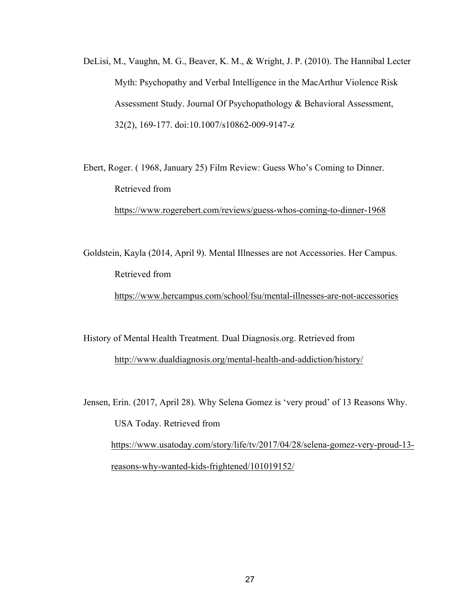DeLisi, M., Vaughn, M. G., Beaver, K. M., & Wright, J. P. (2010). The Hannibal Lecter Myth: Psychopathy and Verbal Intelligence in the MacArthur Violence Risk Assessment Study. Journal Of Psychopathology & Behavioral Assessment, 32(2), 169-177. doi:10.1007/s10862-009-9147-z

Ebert, Roger. ( 1968, January 25) Film Review: Guess Who's Coming to Dinner. Retrieved from https://www.rogerebert.com/reviews/guess-whos-coming-to-dinner-1968

Goldstein, Kayla (2014, April 9). Mental Illnesses are not Accessories. Her Campus. Retrieved from https://www.hercampus.com/school/fsu/mental-illnesses-are-not-accessories

History of Mental Health Treatment. Dual Diagnosis.org. Retrieved from http://www.dualdiagnosis.org/mental-health-and-addiction/history/

Jensen, Erin. (2017, April 28). Why Selena Gomez is 'very proud' of 13 Reasons Why. USA Today. Retrieved from https://www.usatoday.com/story/life/tv/2017/04/28/selena-gomez-very-proud-13 reasons-why-wanted-kids-frightened/101019152/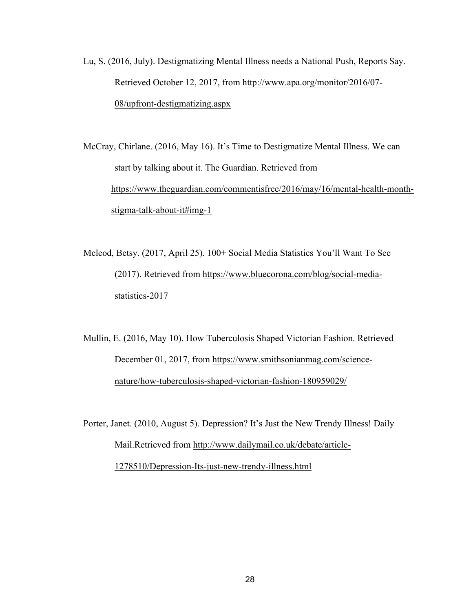Lu, S. (2016, July). Destigmatizing Mental Illness needs a National Push, Reports Say. Retrieved October 12, 2017, from http://www.apa.org/monitor/2016/07- 08/upfront-destigmatizing.aspx

McCray, Chirlane. (2016, May 16). It's Time to Destigmatize Mental Illness. We can start by talking about it. The Guardian. Retrieved from https://www.theguardian.com/commentisfree/2016/may/16/mental-health-monthstigma-talk-about-it#img-1

Mcleod, Betsy. (2017, April 25). 100+ Social Media Statistics You'll Want To See (2017). Retrieved from https://www.bluecorona.com/blog/social-mediastatistics-2017

Mullin, E. (2016, May 10). How Tuberculosis Shaped Victorian Fashion. Retrieved December 01, 2017, from https://www.smithsonianmag.com/sciencenature/how-tuberculosis-shaped-victorian-fashion-180959029/

Porter, Janet. (2010, August 5). Depression? It's Just the New Trendy Illness! Daily Mail.Retrieved from http://www.dailymail.co.uk/debate/article-1278510/Depression-Its-just-new-trendy-illness.html